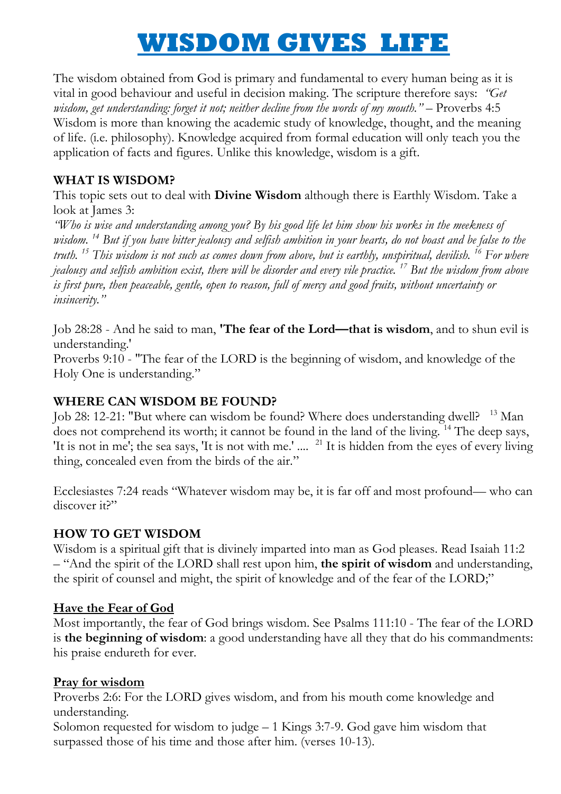# **WISDOM GIVES LIFE**

The wisdom obtained from God is primary and fundamental to every human being as it is vital in good behaviour and useful in decision making. The scripture therefore says: *"Get wisdom, get understanding: forget it not; neither decline from the words of my mouth.*" – Proverbs 4:5 Wisdom is more than knowing the academic study of knowledge, thought, and the meaning of life. (i.e. philosophy). Knowledge acquired from formal education will only teach you the application of facts and figures. Unlike this knowledge, wisdom is a gift.

## **WHAT IS WISDOM?**

This topic sets out to deal with **Divine Wisdom** although there is Earthly Wisdom. Take a look at James 3:

*"Who is wise and understanding among you? By his good life let him show his works in the meekness of wisdom. <sup>14</sup> But if you have bitter jealousy and selfish ambition in your hearts, do not boast and be false to the truth. <sup>15</sup> This wisdom is not such as comes down from above, but is earthly, unspiritual, devilish. <sup>16</sup> For where jealousy and selfish ambition exist, there will be disorder and every vile practice. <sup>17</sup> But the wisdom from above is first pure, then peaceable, gentle, open to reason, full of mercy and good fruits, without uncertainty or insincerity."*

Job 28:28 - And he said to man, **'The fear of the Lord—that is wisdom**, and to shun evil is understanding.'

Proverbs 9:10 - "The fear of the LORD is the beginning of wisdom, and knowledge of the Holy One is understanding."

## **WHERE CAN WISDOM BE FOUND?**

Job 28: 12-21: "But where can wisdom be found? Where does understanding dwell? <sup>13</sup> Man does not comprehend its worth; it cannot be found in the land of the living. <sup>14</sup> The deep says, 'It is not in me'; the sea says, 'It is not with me.' .... <sup>21</sup> It is hidden from the eyes of every living thing, concealed even from the birds of the air."

Ecclesiastes 7:24 reads "Whatever wisdom may be, it is far off and most profound— who can discover it?"

## **HOW TO GET WISDOM**

Wisdom is a spiritual gift that is divinely imparted into man as God pleases. Read Isaiah 11:2 – ―And the spirit of the LORD shall rest upon him, **the spirit of wisdom** and understanding, the spirit of counsel and might, the spirit of knowledge and of the fear of the LORD;"

## **Have the Fear of God**

Most importantly, the fear of God brings wisdom. See Psalms 111:10 - The fear of the LORD is **the beginning of wisdom**: a good understanding have all they that do his commandments: his praise endureth for ever.

#### **Pray for wisdom**

Proverbs 2:6: For the LORD gives wisdom, and from his mouth come knowledge and understanding.

Solomon requested for wisdom to judge – 1 Kings 3:7-9. God gave him wisdom that surpassed those of his time and those after him. (verses 10-13).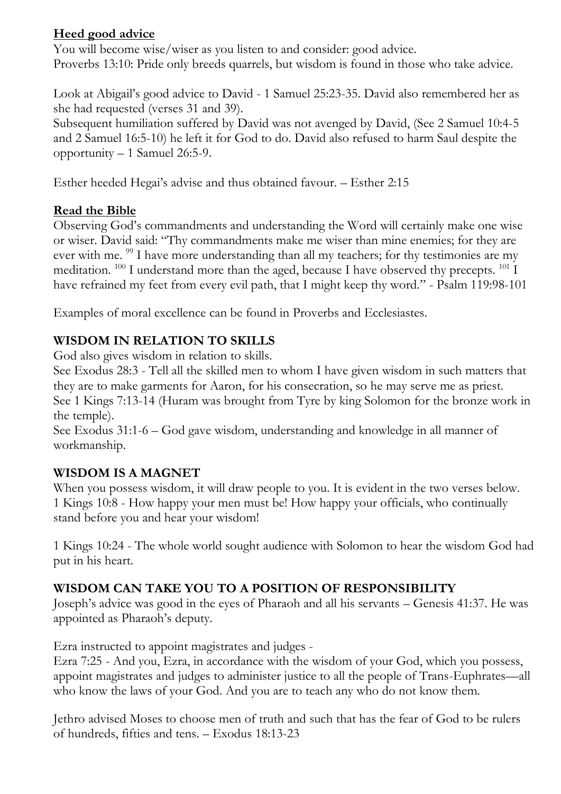## **Heed good advice**

You will become wise/wiser as you listen to and consider: good advice. Proverbs 13:10: Pride only breeds quarrels, but wisdom is found in those who take advice.

Look at Abigail's good advice to David - 1 Samuel 25:23-35. David also remembered her as she had requested (verses 31 and 39).

Subsequent humiliation suffered by David was not avenged by David, (See 2 Samuel 10:4-5 and 2 Samuel 16:5-10) he left it for God to do. David also refused to harm Saul despite the opportunity – 1 Samuel 26:5-9.

Esther heeded Hegai's advise and thus obtained favour. – Esther 2:15

## **Read the Bible**

Observing God's commandments and understanding the Word will certainly make one wise or wiser. David said: "Thy commandments make me wiser than mine enemies; for they are ever with me. <sup>99</sup> I have more understanding than all my teachers; for thy testimonies are my meditation. <sup>100</sup> I understand more than the aged, because I have observed thy precepts. <sup>101</sup> I have refrained my feet from every evil path, that I might keep thy word." - Psalm 119:98-101

Examples of moral excellence can be found in Proverbs and Ecclesiastes.

## **WISDOM IN RELATION TO SKILLS**

God also gives wisdom in relation to skills.

See Exodus 28:3 - Tell all the skilled men to whom I have given wisdom in such matters that they are to make garments for Aaron, for his consecration, so he may serve me as priest. See 1 Kings 7:13-14 (Huram was brought from Tyre by king Solomon for the bronze work in the temple).

See Exodus 31:1-6 – God gave wisdom, understanding and knowledge in all manner of workmanship.

## **WISDOM IS A MAGNET**

When you possess wisdom, it will draw people to you. It is evident in the two verses below. 1 Kings 10:8 - How happy your men must be! How happy your officials, who continually stand before you and hear your wisdom!

1 Kings 10:24 - The whole world sought audience with Solomon to hear the wisdom God had put in his heart.

## **WISDOM CAN TAKE YOU TO A POSITION OF RESPONSIBILITY**

Joseph's advice was good in the eyes of Pharaoh and all his servants – Genesis 41:37. He was appointed as Pharaoh's deputy.

Ezra instructed to appoint magistrates and judges -

Ezra 7:25 - And you, Ezra, in accordance with the wisdom of your God, which you possess, appoint magistrates and judges to administer justice to all the people of Trans-Euphrates—all who know the laws of your God. And you are to teach any who do not know them.

Jethro advised Moses to choose men of truth and such that has the fear of God to be rulers of hundreds, fifties and tens. – Exodus 18:13-23